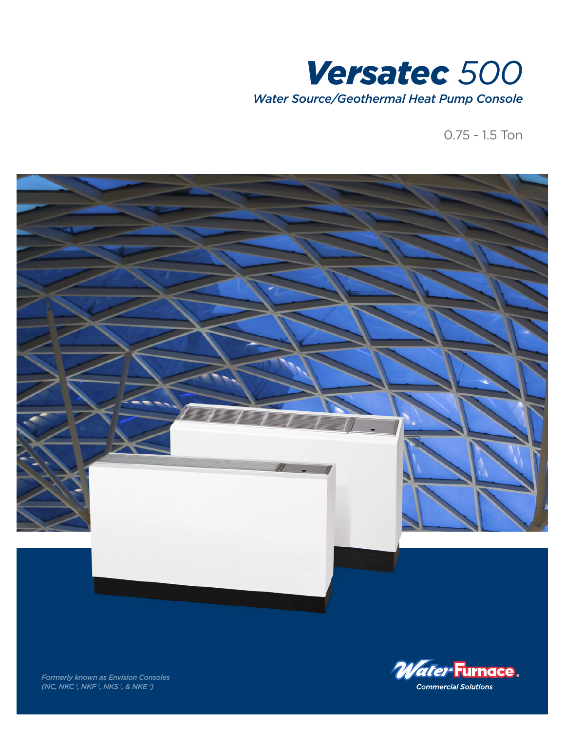

0.75 - 1.5 Ton





*Formerly known as Envision Consoles (NC, NKC 1 , NKF 1 , NKS 1 , & NKE 1 )*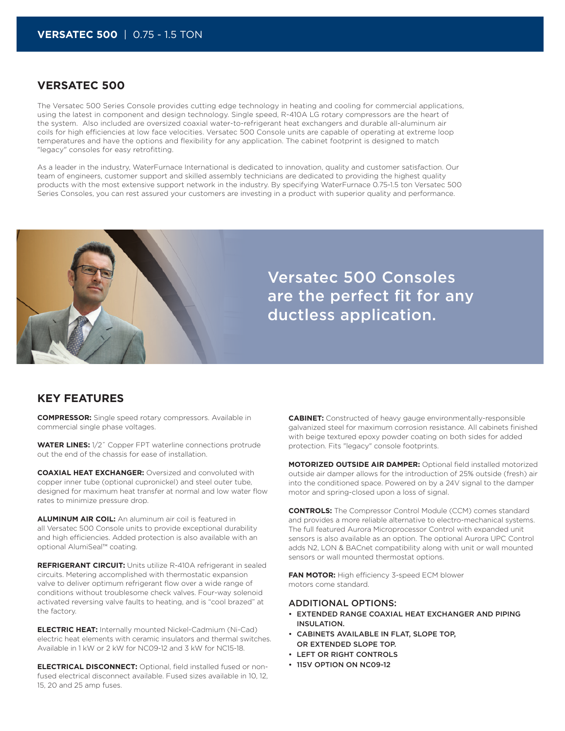## **VERSATEC 500**

The Versatec 500 Series Console provides cutting edge technology in heating and cooling for commercial applications, using the latest in component and design technology. Single speed, R-410A LG rotary compressors are the heart of the system. Also included are oversized coaxial water-to-refrigerant heat exchangers and durable all-aluminum air coils for high efficiencies at low face velocities. Versatec 500 Console units are capable of operating at extreme loop temperatures and have the options and flexibility for any application. The cabinet footprint is designed to match "legacy" consoles for easy retrofitting.

As a leader in the industry, WaterFurnace International is dedicated to innovation, quality and customer satisfaction. Our team of engineers, customer support and skilled assembly technicians are dedicated to providing the highest quality products with the most extensive support network in the industry. By specifying WaterFurnace 0.75-1.5 ton Versatec 500 Series Consoles, you can rest assured your customers are investing in a product with superior quality and performance.



## **KEY FEATURES**

**COMPRESSOR:** Single speed rotary compressors. Available in commercial single phase voltages.

**WATER LINES:** 1/2˝ Copper FPT waterline connections protrude out the end of the chassis for ease of installation.

**COAXIAL HEAT EXCHANGER:** Oversized and convoluted with copper inner tube (optional cupronickel) and steel outer tube, designed for maximum heat transfer at normal and low water flow rates to minimize pressure drop.

**ALUMINUM AIR COIL:** An aluminum air coil is featured in all Versatec 500 Console units to provide exceptional durability and high efficiencies. Added protection is also available with an optional AlumiSeal™ coating.

**REFRIGERANT CIRCUIT:** Units utilize R-410A refrigerant in sealed circuits. Metering accomplished with thermostatic expansion valve to deliver optimum refrigerant flow over a wide range of conditions without troublesome check valves. Four-way solenoid activated reversing valve faults to heating, and is "cool brazed" at the factory.

**ELECTRIC HEAT:** Internally mounted Nickel-Cadmium (Ni-Cad) electric heat elements with ceramic insulators and thermal switches. Available in 1 kW or 2 kW for NC09-12 and 3 kW for NC15-18.

**ELECTRICAL DISCONNECT:** Optional, field installed fused or nonfused electrical disconnect available. Fused sizes available in 10, 12, 15, 20 and 25 amp fuses.

**CABINET:** Constructed of heavy gauge environmentally-responsible galvanized steel for maximum corrosion resistance. All cabinets finished with beige textured epoxy powder coating on both sides for added protection. Fits "legacy" console footprints.

**MOTORIZED OUTSIDE AIR DAMPER:** Optional field installed motorized outside air damper allows for the introduction of 25% outside (fresh) air into the conditioned space. Powered on by a 24V signal to the damper motor and spring-closed upon a loss of signal.

**CONTROLS:** The Compressor Control Module (CCM) comes standard and provides a more reliable alternative to electro-mechanical systems. The full featured Aurora Microprocessor Control with expanded unit sensors is also available as an option. The optional Aurora UPC Control adds N2, LON & BACnet compatibility along with unit or wall mounted sensors or wall mounted thermostat options.

**FAN MOTOR:** High efficiency 3-speed ECM blower motors come standard.

### ADDITIONAL OPTIONS:

- EXTENDED RANGE COAXIAL HEAT EXCHANGER AND PIPING INSULATION.
- CABINETS AVAILABLE IN FLAT, SLOPE TOP, OR EXTENDED SLOPE TOP.
- LEFT OR RIGHT CONTROLS
- 115V OPTION ON NC09-12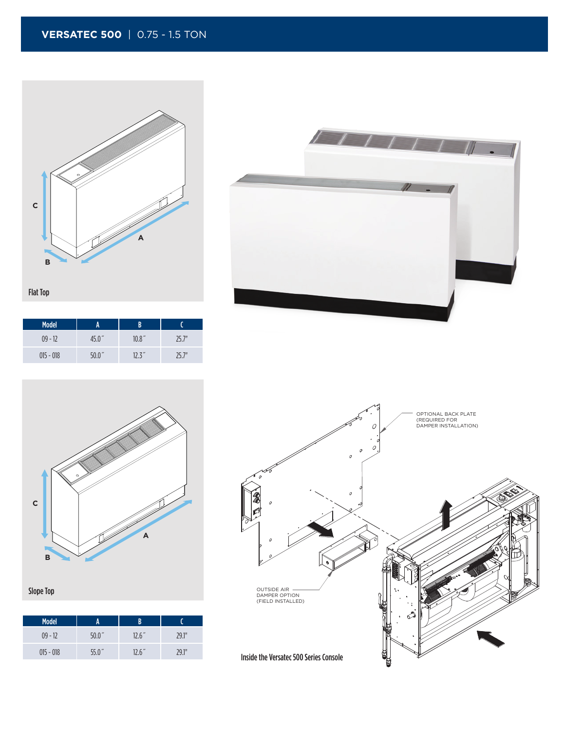**VERSATEC 500** | 0.75 - 1.5 TON



| <b>Model</b> | A                  | R      |      |
|--------------|--------------------|--------|------|
| $09 - 12$    | 45.0 <sup>''</sup> | 10.8'' | 757" |
| $015 - 018$  | 50.0 <sup>''</sup> | 12.3'' | 757" |





Slope Top

| <b>Model</b> |                    | B      |       |
|--------------|--------------------|--------|-------|
| $09 - 12$    | 50.0 <sup>''</sup> | 12.6'' | 79.1" |
| $015 - 018$  | 55.0 <sup>''</sup> | 12.6'' | 79.1" |